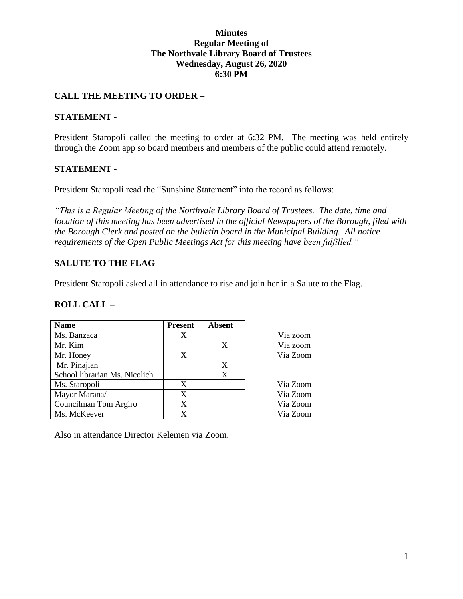## **Minutes Regular Meeting of The Northvale Library Board of Trustees Wednesday, August 26, 2020 6:30 PM**

# **CALL THE MEETING TO ORDER –**

## **STATEMENT -**

President Staropoli called the meeting to order at 6:32 PM. The meeting was held entirely through the Zoom app so board members and members of the public could attend remotely.

## **STATEMENT -**

President Staropoli read the "Sunshine Statement" into the record as follows:

*"This is a Regular Meeting of the Northvale Library Board of Trustees. The date, time and location of this meeting has been advertised in the official Newspapers of the Borough, filed with the Borough Clerk and posted on the bulletin board in the Municipal Building. All notice requirements of the Open Public Meetings Act for this meeting have been fulfilled."* 

> Via zoom Via zoom Via Zoom

> Via Zoom

Via Zoom Via Zoom Via Zoom

# **SALUTE TO THE FLAG**

President Staropoli asked all in attendance to rise and join her in a Salute to the Flag.

### **ROLL CALL –**

| <b>Name</b>                   | <b>Present</b> | <b>Absent</b> |
|-------------------------------|----------------|---------------|
| Ms. Banzaca                   | X              |               |
| Mr. Kim                       |                | X             |
| Mr. Honey                     | X              |               |
| Mr. Pinajian                  |                |               |
| School librarian Ms. Nicolich |                | X             |
| Ms. Staropoli                 | X              |               |
| Mayor Marana/                 | X              |               |
| Councilman Tom Argiro         | X              |               |
| Ms. McKeever                  |                |               |

Also in attendance Director Kelemen via Zoom.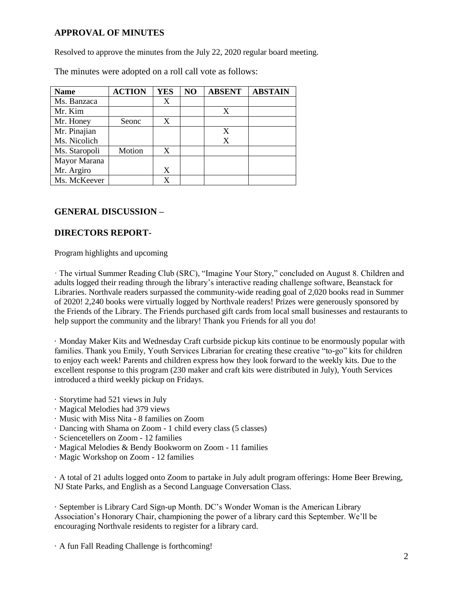# **APPROVAL OF MINUTES**

Resolved to approve the minutes from the July 22, 2020 regular board meeting.

The minutes were adopted on a roll call vote as follows:

| <b>Name</b>   | <b>ACTION</b> | <b>YES</b> | NO | <b>ABSENT</b> | <b>ABSTAIN</b> |
|---------------|---------------|------------|----|---------------|----------------|
| Ms. Banzaca   |               | X          |    |               |                |
| Mr. Kim       |               |            |    | X             |                |
| Mr. Honey     | Seonc         | X          |    |               |                |
| Mr. Pinajian  |               |            |    | X             |                |
| Ms. Nicolich  |               |            |    | X             |                |
| Ms. Staropoli | Motion        | X          |    |               |                |
| Mayor Marana  |               |            |    |               |                |
| Mr. Argiro    |               | X          |    |               |                |
| Ms. McKeever  |               | X          |    |               |                |

# **GENERAL DISCUSSION –**

# **DIRECTORS REPORT-**

Program highlights and upcoming

· The virtual Summer Reading Club (SRC), "Imagine Your Story," concluded on August 8. Children and adults logged their reading through the library's interactive reading challenge software, Beanstack for Libraries. Northvale readers surpassed the community-wide reading goal of 2,020 books read in Summer of 2020! 2,240 books were virtually logged by Northvale readers! Prizes were generously sponsored by the Friends of the Library. The Friends purchased gift cards from local small businesses and restaurants to help support the community and the library! Thank you Friends for all you do!

· Monday Maker Kits and Wednesday Craft curbside pickup kits continue to be enormously popular with families. Thank you Emily, Youth Services Librarian for creating these creative "to-go" kits for children to enjoy each week! Parents and children express how they look forward to the weekly kits. Due to the excellent response to this program (230 maker and craft kits were distributed in July), Youth Services introduced a third weekly pickup on Fridays.

- · Storytime had 521 views in July
- · Magical Melodies had 379 views
- · Music with Miss Nita 8 families on Zoom
- · Dancing with Shama on Zoom 1 child every class (5 classes)
- · Sciencetellers on Zoom 12 families
- · Magical Melodies & Bendy Bookworm on Zoom 11 families
- · Magic Workshop on Zoom 12 families

· A total of 21 adults logged onto Zoom to partake in July adult program offerings: Home Beer Brewing, NJ State Parks, and English as a Second Language Conversation Class.

· September is Library Card Sign-up Month. DC's Wonder Woman is the American Library Association's Honorary Chair, championing the power of a library card this September. We'll be encouraging Northvale residents to register for a library card.

· A fun Fall Reading Challenge is forthcoming!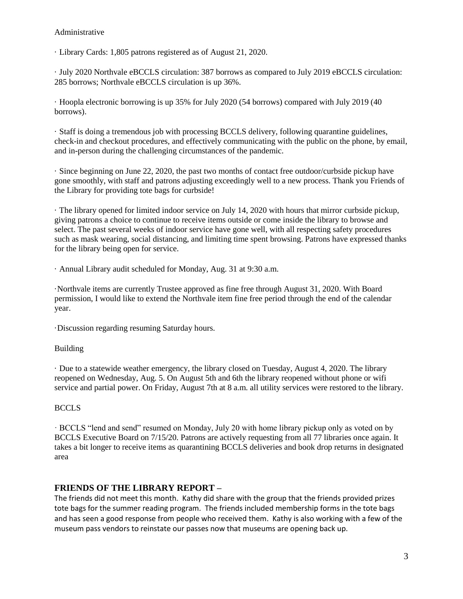#### Administrative

· Library Cards: 1,805 patrons registered as of August 21, 2020.

· July 2020 Northvale eBCCLS circulation: 387 borrows as compared to July 2019 eBCCLS circulation: 285 borrows; Northvale eBCCLS circulation is up 36%.

· Hoopla electronic borrowing is up 35% for July 2020 (54 borrows) compared with July 2019 (40 borrows).

· Staff is doing a tremendous job with processing BCCLS delivery, following quarantine guidelines, check-in and checkout procedures, and effectively communicating with the public on the phone, by email, and in-person during the challenging circumstances of the pandemic.

· Since beginning on June 22, 2020, the past two months of contact free outdoor/curbside pickup have gone smoothly, with staff and patrons adjusting exceedingly well to a new process. Thank you Friends of the Library for providing tote bags for curbside!

· The library opened for limited indoor service on July 14, 2020 with hours that mirror curbside pickup, giving patrons a choice to continue to receive items outside or come inside the library to browse and select. The past several weeks of indoor service have gone well, with all respecting safety procedures such as mask wearing, social distancing, and limiting time spent browsing. Patrons have expressed thanks for the library being open for service.

· Annual Library audit scheduled for Monday, Aug. 31 at 9:30 a.m.

·Northvale items are currently Trustee approved as fine free through August 31, 2020. With Board permission, I would like to extend the Northvale item fine free period through the end of the calendar year.

·Discussion regarding resuming Saturday hours.

### Building

· Due to a statewide weather emergency, the library closed on Tuesday, August 4, 2020. The library reopened on Wednesday, Aug. 5. On August 5th and 6th the library reopened without phone or wifi service and partial power. On Friday, August 7th at 8 a.m. all utility services were restored to the library.

### **BCCLS**

· BCCLS "lend and send" resumed on Monday, July 20 with home library pickup only as voted on by BCCLS Executive Board on 7/15/20. Patrons are actively requesting from all 77 libraries once again. It takes a bit longer to receive items as quarantining BCCLS deliveries and book drop returns in designated area

### **FRIENDS OF THE LIBRARY REPORT –**

The friends did not meet this month. Kathy did share with the group that the friends provided prizes tote bags for the summer reading program. The friends included membership forms in the tote bags and has seen a good response from people who received them. Kathy is also working with a few of the museum pass vendors to reinstate our passes now that museums are opening back up.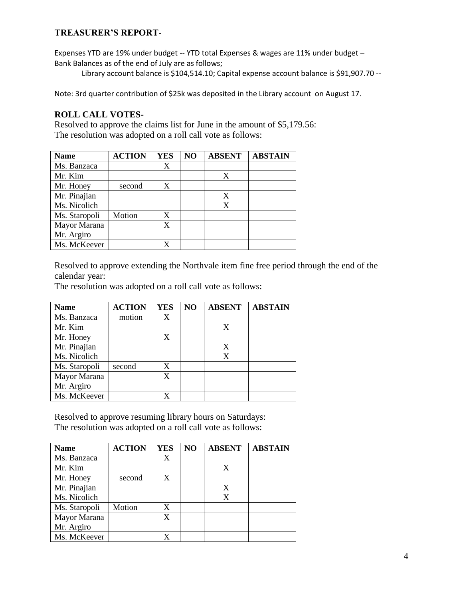# **TREASURER'S REPORT-**

Expenses YTD are 19% under budget -- YTD total Expenses & wages are 11% under budget – Bank Balances as of the end of July are as follows;

Library account balance is \$104,514.10; Capital expense account balance is \$91,907.70 --

Note: 3rd quarter contribution of \$25k was deposited in the Library account on August 17.

## **ROLL CALL VOTES-**

Resolved to approve the claims list for June in the amount of \$5,179.56: The resolution was adopted on a roll call vote as follows:

| <b>Name</b>   | <b>ACTION</b> | <b>YES</b> | NO | <b>ABSENT</b> | <b>ABSTAIN</b> |
|---------------|---------------|------------|----|---------------|----------------|
| Ms. Banzaca   |               | X          |    |               |                |
| Mr. Kim       |               |            |    | X             |                |
| Mr. Honey     | second        | X          |    |               |                |
| Mr. Pinajian  |               |            |    | X             |                |
| Ms. Nicolich  |               |            |    | X             |                |
| Ms. Staropoli | Motion        | X          |    |               |                |
| Mayor Marana  |               | X          |    |               |                |
| Mr. Argiro    |               |            |    |               |                |
| Ms. McKeever  |               |            |    |               |                |

Resolved to approve extending the Northvale item fine free period through the end of the calendar year:

The resolution was adopted on a roll call vote as follows:

| <b>Name</b>   | <b>ACTION</b> | <b>YES</b> | NO | <b>ABSENT</b> | <b>ABSTAIN</b> |
|---------------|---------------|------------|----|---------------|----------------|
| Ms. Banzaca   | motion        | X          |    |               |                |
| Mr. Kim       |               |            |    | X             |                |
| Mr. Honey     |               | X          |    |               |                |
| Mr. Pinajian  |               |            |    | X             |                |
| Ms. Nicolich  |               |            |    | X             |                |
| Ms. Staropoli | second        | X          |    |               |                |
| Mayor Marana  |               | X          |    |               |                |
| Mr. Argiro    |               |            |    |               |                |
| Ms. McKeever  |               |            |    |               |                |

Resolved to approve resuming library hours on Saturdays: The resolution was adopted on a roll call vote as follows:

| <b>Name</b>   | <b>ACTION</b> | <b>YES</b> | NO | <b>ABSENT</b> | <b>ABSTAIN</b> |
|---------------|---------------|------------|----|---------------|----------------|
| Ms. Banzaca   |               | X          |    |               |                |
| Mr. Kim       |               |            |    | X             |                |
| Mr. Honey     | second        | X          |    |               |                |
| Mr. Pinajian  |               |            |    | X             |                |
| Ms. Nicolich  |               |            |    | X             |                |
| Ms. Staropoli | Motion        | X          |    |               |                |
| Mayor Marana  |               | X          |    |               |                |
| Mr. Argiro    |               |            |    |               |                |
| Ms. McKeever  |               |            |    |               |                |